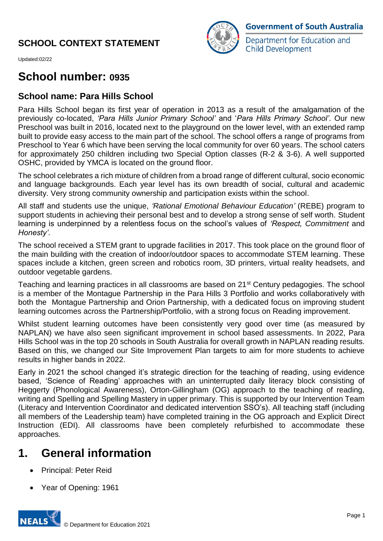

Department for Education and **Child Development** 

Updated:02/22

# **School number: 0935**

# **School name: Para Hills School**

Para Hills School began its first year of operation in 2013 as a result of the amalgamation of the previously co-located, *'Para Hills Junior Primary School'* and '*Para Hills Primary School'*. Our new Preschool was built in 2016, located next to the playground on the lower level, with an extended ramp built to provide easy access to the main part of the school. The school offers a range of programs from Preschool to Year 6 which have been serving the local community for over 60 years. The school caters for approximately 250 children including two Special Option classes (R-2 & 3-6). A well supported OSHC, provided by YMCA is located on the ground floor.

The school celebrates a rich mixture of children from a broad range of different cultural, socio economic and language backgrounds. Each year level has its own breadth of social, cultural and academic diversity. Very strong community ownership and participation exists within the school.

All staff and students use the unique, *'Rational Emotional Behaviour Education'* (REBE) program to support students in achieving their personal best and to develop a strong sense of self worth. Student learning is underpinned by a relentless focus on the school's values of *'Respect, Commitment* and *Honesty'*.

The school received a STEM grant to upgrade facilities in 2017. This took place on the ground floor of the main building with the creation of indoor/outdoor spaces to accommodate STEM learning. These spaces include a kitchen, green screen and robotics room, 3D printers, virtual reality headsets, and outdoor vegetable gardens.

Teaching and learning practices in all classrooms are based on 21<sup>st</sup> Century pedagogies. The school is a member of the Montague Partnership in the Para Hills 3 Portfolio and works collaboratively with both the Montague Partnership and Orion Partnership, with a dedicated focus on improving student learning outcomes across the Partnership/Portfolio, with a strong focus on Reading improvement.

Whilst student learning outcomes have been consistently very good over time (as measured by NAPLAN) we have also seen significant improvement in school based assessments. In 2022, Para Hills School was in the top 20 schools in South Australia for overall growth in NAPLAN reading results. Based on this, we changed our Site Improvement Plan targets to aim for more students to achieve results in higher bands in 2022.

Early in 2021 the school changed it's strategic direction for the teaching of reading, using evidence based, 'Science of Reading' approaches with an uninterrupted daily literacy block consisting of Heggerty (Phonological Awareness), Orton-Gillingham (OG) approach to the teaching of reading, writing and Spelling and Spelling Mastery in upper primary. This is supported by our Intervention Team (Literacy and Intervention Coordinator and dedicated intervention SSO's). All teaching staff (including all members of the Leadership team) have completed training in the OG approach and Explicit Direct Instruction (EDI). All classrooms have been completely refurbished to accommodate these approaches.

# **1. General information**

- Principal: Peter Reid
- Year of Opening: 1961

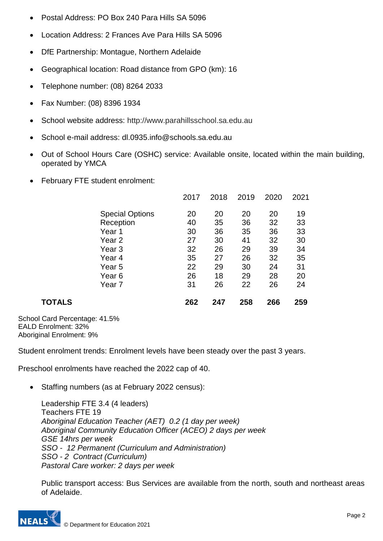- Postal Address: PO Box 240 Para Hills SA 5096
- Location Address: 2 Frances Ave Para Hills SA 5096
- DfE Partnership: Montague, Northern Adelaide
- Geographical location: Road distance from GPO (km): 16
- Telephone number: (08) 8264 2033
- Fax Number: (08) 8396 1934
- School website address: http://www.parahillsschool.sa.edu.au
- School e-mail address: dl.0935.info@schools.sa.edu.au
- Out of School Hours Care (OSHC) service: Available onsite, located within the main building, operated by YMCA
- February FTE student enrolment:

|        |                        | 2017 | 2018 | 2019 | 2020 | 2021 |
|--------|------------------------|------|------|------|------|------|
|        | <b>Special Options</b> | 20   | 20   | 20   | 20   | 19   |
|        | Reception              | 40   | 35   | 36   | 32   | 33   |
|        | Year 1                 | 30   | 36   | 35   | 36   | 33   |
|        | Year 2                 | 27   | 30   | 41   | 32   | 30   |
|        | Year <sub>3</sub>      | 32   | 26   | 29   | 39   | 34   |
|        | Year 4                 | 35   | 27   | 26   | 32   | 35   |
|        | Year 5                 | 22   | 29   | 30   | 24   | 31   |
|        | Year <sub>6</sub>      | 26   | 18   | 29   | 28   | 20   |
|        | Year 7                 | 31   | 26   | 22   | 26   | 24   |
| TOTALS |                        | 262  | 247  | 258  | 266  | 259  |
|        |                        |      |      |      |      |      |

School Card Percentage: 41.5% EALD Enrolment: 32% Aboriginal Enrolment: 9%

Student enrolment trends: Enrolment levels have been steady over the past 3 years.

Preschool enrolments have reached the 2022 cap of 40.

Staffing numbers (as at February 2022 census):

Leadership FTE 3.4 (4 leaders) Teachers FTE 19 *Aboriginal Education Teacher (AET) 0.2 (1 day per week) Aboriginal Community Education Officer (ACEO) 2 days per week GSE 14hrs per week SSO - 12 Permanent (Curriculum and Administration) SSO - 2 Contract (Curriculum) Pastoral Care worker: 2 days per week*

Public transport access: Bus Services are available from the north, south and northeast areas of Adelaide.

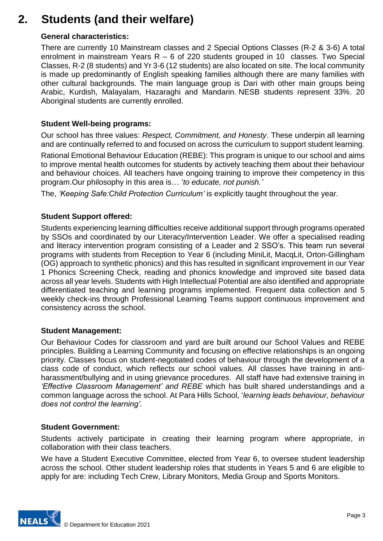# **2. Students (and their welfare)**

### **General characteristics:**

There are currently 10 Mainstream classes and 2 Special Options Classes (R-2 & 3-6) A total enrolment in mainstream Years  $R - 6$  of 220 students grouped in 10 classes. Two Special Classes, R-2 (8 students) and Yr 3-6 (12 students) are also located on site. The local community is made up predominantly of English speaking families although there are many families with other cultural backgrounds. The main language group is Dari with other main groups being Arabic, Kurdish, Malayalam, Hazaraghi and Mandarin. NESB students represent 33%. 20 Aboriginal students are currently enrolled.

### **Student Well-being programs:**

Our school has three values: *Respect, Commitment, and Honesty*. These underpin all learning and are continually referred to and focused on across the curriculum to support student learning. Rational Emotional Behaviour Education (REBE): This program is unique to our school and aims to improve mental health outcomes for students by actively teaching them about their behaviour and behaviour choices. All teachers have ongoing training to improve their competency in this program.Our philosophy in this area is… '*to educate, not punish.'*

The, *'Keeping Safe:Child Protection Curriculum'* is explicitly taught throughout the year.

### **Student Support offered:**

Students experiencing learning difficulties receive additional support through programs operated by SSOs and coordinated by our Literacy/Intervention Leader. We offer a specialised reading and literacy intervention program consisting of a Leader and 2 SSO's. This team run several programs with students from Reception to Year 6 (including MiniLit, MacqLit, Orton-Gillingham (OG) approach to synthetic phonics) and this has resulted in significant improvement in our Year 1 Phonics Screening Check, reading and phonics knowledge and improved site based data across all year levels. Students with High Intellectual Potential are also identified and appropriate differentiated teaching and learning programs implemented. Frequent data collection and 5 weekly check-ins through Professional Learning Teams support continuous improvement and consistency across the school.

#### **Student Management:**

Our Behaviour Codes for classroom and yard are built around our School Values and REBE principles. Building a Learning Community and focusing on effective relationships is an ongoing priority. Classes focus on student-negotiated codes of behaviour through the development of a class code of conduct, which reflects our school values. All classes have training in antiharassment/bullying and in using grievance procedures. All staff have had extensive training in *'Effective Classroom Management' and REBE* which has built shared understandings and a common language across the school. At Para Hills School, '*learning leads behaviour, behaviour does not control the learning'.*

#### **Student Government:**

Students actively participate in creating their learning program where appropriate, in collaboration with their class teachers.

We have a Student Executive Committee, elected from Year 6, to oversee student leadership across the school. Other student leadership roles that students in Years 5 and 6 are eligible to apply for are: including Tech Crew, Library Monitors, Media Group and Sports Monitors.

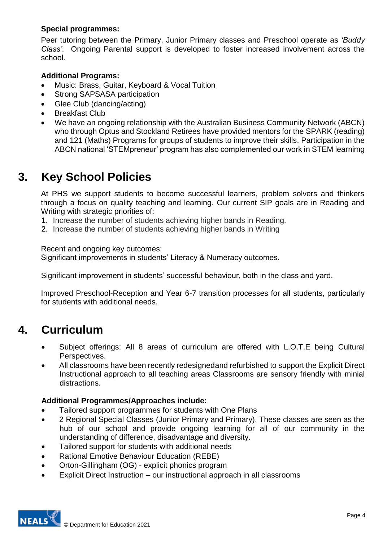# **Special programmes:**

Peer tutoring between the Primary, Junior Primary classes and Preschool operate as *'Buddy Class'*. Ongoing Parental support is developed to foster increased involvement across the school.

# **Additional Programs:**

- Music: Brass, Guitar, Keyboard & Vocal Tuition
- Strong SAPSASA participation
- Glee Club (dancing/acting)
- Breakfast Club
- We have an ongoing relationship with the Australian Business Community Network (ABCN) who through Optus and Stockland Retirees have provided mentors for the SPARK (reading) and 121 (Maths) Programs for groups of students to improve their skills. Participation in the ABCN national 'STEMpreneur' program has also complemented our work in STEM learnimg

# **3. Key School Policies**

At PHS we support students to become successful learners, problem solvers and thinkers through a focus on quality teaching and learning. Our current SIP goals are in Reading and Writing with strategic priorities of:

- 1. Increase the number of students achieving higher bands in Reading.
- 2. Increase the number of students achieving higher bands in Writing

Recent and ongoing key outcomes:

Significant improvements in students' Literacy & Numeracy outcomes.

Significant improvement in students' successful behaviour, both in the class and yard.

Improved Preschool-Reception and Year 6-7 transition processes for all students, particularly for students with additional needs.

# **4. Curriculum**

- Subject offerings: All 8 areas of curriculum are offered with L.O.T.E being Cultural Perspectives.
- All classrooms have been recently redesignedand refurbished to support the Explicit Direct Instructional approach to all teaching areas Classrooms are sensory friendly with minial distractions.

# **Additional Programmes/Approaches include:**

- Tailored support programmes for students with One Plans
- 2 Regional Special Classes (Junior Primary and Primary). These classes are seen as the hub of our school and provide ongoing learning for all of our community in the understanding of difference, disadvantage and diversity.
- Tailored support for students with additional needs
- Rational Emotive Behaviour Education (REBE)
- Orton-Gillingham (OG) explicit phonics program
- Explicit Direct Instruction our instructional approach in all classrooms

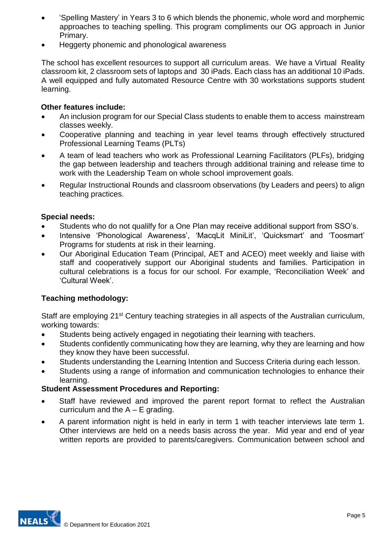- 'Spelling Mastery' in Years 3 to 6 which blends the phonemic, whole word and morphemic approaches to teaching spelling. This program compliments our OG approach in Junior Primary.
- Heggerty phonemic and phonological awareness

The school has excellent resources to support all curriculum areas. We have a Virtual Reality classroom kit, 2 classroom sets of laptops and 30 iPads. Each class has an additional 10 iPads. A well equipped and fully automated Resource Centre with 30 workstations supports student learning.

## **Other features include:**

- An inclusion program for our Special Class students to enable them to access mainstream classes weekly.
- Cooperative planning and teaching in year level teams through effectively structured Professional Learning Teams (PLTs)
- A team of lead teachers who work as Professional Learning Facilitators (PLFs), bridging the gap between leadership and teachers through additional training and release time to work with the Leadership Team on whole school improvement goals.
- Regular Instructional Rounds and classroom observations (by Leaders and peers) to align teaching practices.

### **Special needs:**

- Students who do not qualilfy for a One Plan may receive additional support from SSO's.
- Intensive 'Phonological Awareness', 'MacqLit MiniLit', 'Quicksmart' and 'Toosmart' Programs for students at risk in their learning.
- Our Aboriginal Education Team (Principal, AET and ACEO) meet weekly and liaise with staff and cooperatively support our Aboriginal students and families. Participation in cultural celebrations is a focus for our school. For example, 'Reconciliation Week' and 'Cultural Week'.

# **Teaching methodology:**

Staff are employing 21<sup>st</sup> Century teaching strategies in all aspects of the Australian curriculum, working towards:

- Students being actively engaged in negotiating their learning with teachers.
- Students confidently communicating how they are learning, why they are learning and how they know they have been successful.
- Students understanding the Learning Intention and Success Criteria during each lesson.
- Students using a range of information and communication technologies to enhance their learning.

# **Student Assessment Procedures and Reporting:**

- Staff have reviewed and improved the parent report format to reflect the Australian curriculum and the  $A - E$  grading.
- A parent information night is held in early in term 1 with teacher interviews late term 1. Other interviews are held on a needs basis across the year. Mid year and end of year written reports are provided to parents/caregivers. Communication between school and

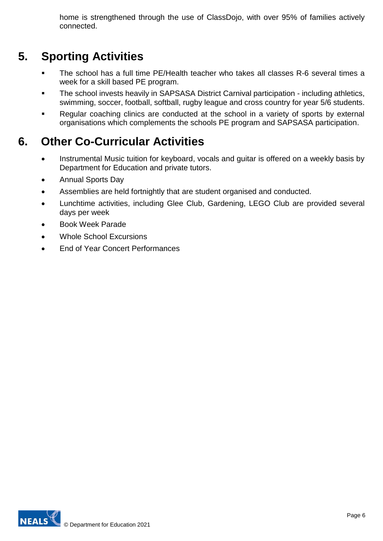home is strengthened through the use of ClassDojo, with over 95% of families actively connected.

# **5. Sporting Activities**

- **The school has a full time PE/Health teacher who takes all classes R-6 several times a** week for a skill based PE program.
- The school invests heavily in SAPSASA District Carnival participation including athletics, swimming, soccer, football, softball, rugby league and cross country for year 5/6 students.
- Regular coaching clinics are conducted at the school in a variety of sports by external organisations which complements the schools PE program and SAPSASA participation.

# **6. Other Co-Curricular Activities**

- Instrumental Music tuition for keyboard, vocals and guitar is offered on a weekly basis by Department for Education and private tutors.
- Annual Sports Day
- Assemblies are held fortnightly that are student organised and conducted.
- Lunchtime activities, including Glee Club, Gardening, LEGO Club are provided several days per week
- Book Week Parade
- Whole School Excursions
- End of Year Concert Performances

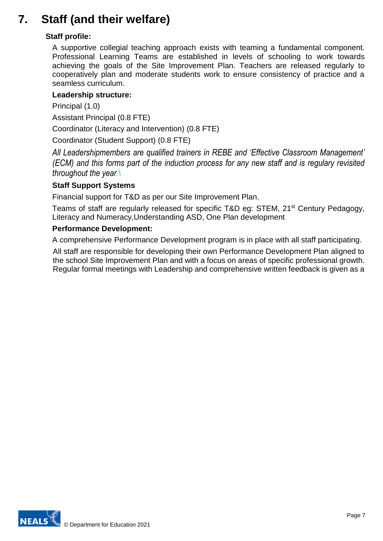# **7. Staff (and their welfare)**

# **Staff profile:**

A supportive collegial teaching approach exists with teaming a fundamental component. Professional Learning Teams are established in levels of schooling to work towards achieving the goals of the Site Improvement Plan. Teachers are released regularly to cooperatively plan and moderate students work to ensure consistency of practice and a seamless curriculum.

## **Leadership structure:**

Principal (1.0)

Assistant Principal (0.8 FTE)

Coordinator (Literacy and Intervention) (0.8 FTE)

Coordinator (Student Support) (0.8 FTE)

*All Leadershipmembers are qualified trainers in REBE and 'Effective Classroom Management' (ECM) and this forms part of the induction process for any new staff and is regulary revisited throughout the year.\*

### **Staff Support Systems**

Financial support for T&D as per our Site Improvement Plan.

Teams of staff are regularly released for specific T&D eg: STEM, 21<sup>st</sup> Century Pedagogy, Literacy and Numeracy,Understanding ASD, One Plan development

#### **Performance Development:**

A comprehensive Performance Development program is in place with all staff participating.

All staff are responsible for developing their own Performance Development Plan aligned to the school Site Improvement Plan and with a focus on areas of specific professional growth. Regular formal meetings with Leadership and comprehensive written feedback is given as a

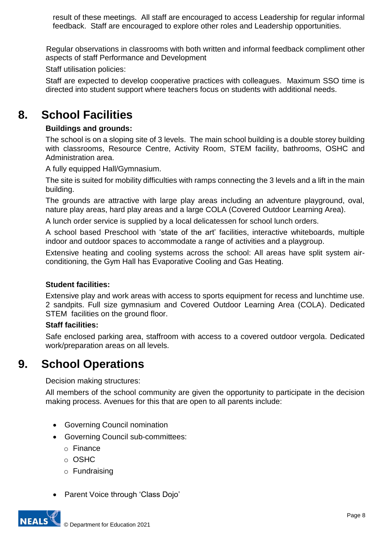result of these meetings. All staff are encouraged to access Leadership for regular informal feedback. Staff are encouraged to explore other roles and Leadership opportunities.

 Regular observations in classrooms with both written and informal feedback compliment other aspects of staff Performance and Development

Staff utilisation policies:

Staff are expected to develop cooperative practices with colleagues. Maximum SSO time is directed into student support where teachers focus on students with additional needs.

# **8. School Facilities**

# **Buildings and grounds:**

The school is on a sloping site of 3 levels. The main school building is a double storey building with classrooms, Resource Centre, Activity Room, STEM facility, bathrooms, OSHC and Administration area.

A fully equipped Hall/Gymnasium.

The site is suited for mobility difficulties with ramps connecting the 3 levels and a lift in the main building.

The grounds are attractive with large play areas including an adventure playground, oval, nature play areas, hard play areas and a large COLA (Covered Outdoor Learning Area).

A lunch order service is supplied by a local delicatessen for school lunch orders.

A school based Preschool with 'state of the art' facilities, interactive whiteboards, multiple indoor and outdoor spaces to accommodate a range of activities and a playgroup.

Extensive heating and cooling systems across the school: All areas have split system airconditioning, the Gym Hall has Evaporative Cooling and Gas Heating.

# **Student facilities:**

Extensive play and work areas with access to sports equipment for recess and lunchtime use. 2 sandpits. Full size gymnasium and Covered Outdoor Learning Area (COLA). Dedicated STEM facilities on the ground floor.

# **Staff facilities:**

Safe enclosed parking area, staffroom with access to a covered outdoor vergola. Dedicated work/preparation areas on all levels.

# **9. School Operations**

Decision making structures:

All members of the school community are given the opportunity to participate in the decision making process. Avenues for this that are open to all parents include:

- Governing Council nomination
- Governing Council sub-committees:
	- o Finance
	- o OSHC
	- o Fundraising
- Parent Voice through 'Class Dojo'

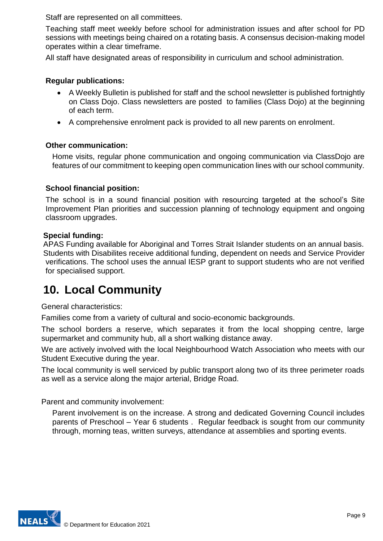Staff are represented on all committees.

Teaching staff meet weekly before school for administration issues and after school for PD sessions with meetings being chaired on a rotating basis. A consensus decision-making model operates within a clear timeframe.

All staff have designated areas of responsibility in curriculum and school administration.

## **Regular publications:**

- A Weekly Bulletin is published for staff and the school newsletter is published fortnightly on Class Dojo. Class newsletters are posted to families (Class Dojo) at the beginning of each term.
- A comprehensive enrolment pack is provided to all new parents on enrolment.

### **Other communication:**

Home visits, regular phone communication and ongoing communication via ClassDojo are features of our commitment to keeping open communication lines with our school community.

### **School financial position:**

The school is in a sound financial position with resourcing targeted at the school's Site Improvement Plan priorities and succession planning of technology equipment and ongoing classroom upgrades.

#### **Special funding:**

APAS Funding available for Aboriginal and Torres Strait Islander students on an annual basis. Students with Disabilites receive additional funding, dependent on needs and Service Provider verifications. The school uses the annual IESP grant to support students who are not verified for specialised support.

# **10. Local Community**

General characteristics:

Families come from a variety of cultural and socio-economic backgrounds.

The school borders a reserve, which separates it from the local shopping centre, large supermarket and community hub, all a short walking distance away.

We are actively involved with the local Neighbourhood Watch Association who meets with our Student Executive during the year.

The local community is well serviced by public transport along two of its three perimeter roads as well as a service along the major arterial, Bridge Road.

Parent and community involvement:

Parent involvement is on the increase. A strong and dedicated Governing Council includes parents of Preschool – Year 6 students . Regular feedback is sought from our community through, morning teas, written surveys, attendance at assemblies and sporting events.